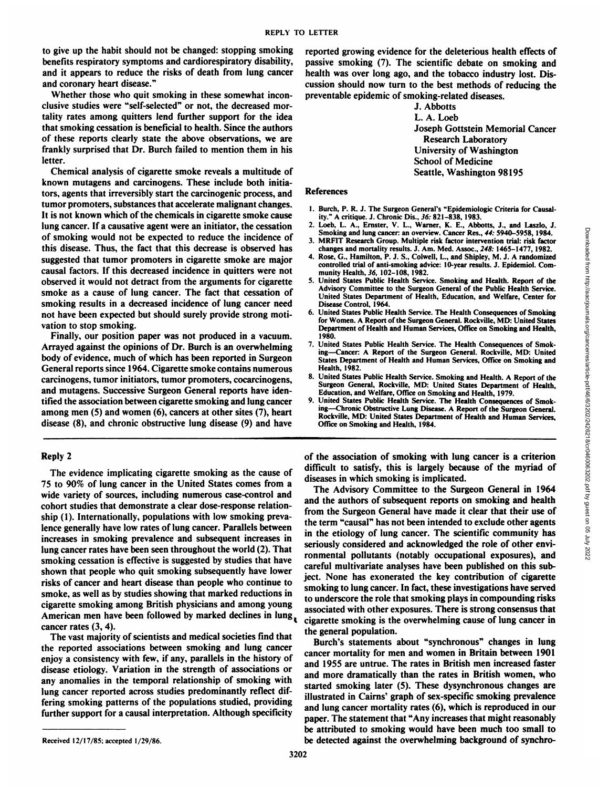to give up the habit should not be changed: stopping smoking benefits respiratory symptoms and cardiorespiratory disability, and it appears to reduce the risks of death from lung cancer and coronary heart disease."

Whether those who quit smoking in these somewhat inconclusive studies were "self-selected" or not, the decreased mortality rates among quitters lend further support for the idea that smoking cessation is beneficial to health. Since the authors of these reports clearly state the above observations, we are frankly surprised that Dr. Burch failed to mention them in his letter.

Chemical analysis of cigarette smoke reveals a multitude of known mutagens and carcinogens. These include both initia tors, agents that irreversibly start the carcinogenic process, and tumor promoters, substances that accelerate malignant changes. It is not known which of the chemicals in cigarette smoke cause lung cancer. If a causative agent were an initiator, the cessation of smoking would not be expected to reduce the incidence of this disease. Thus, the fact that this decrease is observed has suggested that tumor promoters in cigarette smoke are major causal factors. If this decreased incidence in quitters were not observed it would not detract from the arguments for cigarette smoke as a cause of lung cancer. The fact that cessation of smoking results in a decreased incidence of lung cancer need not have been expected but should surely provide strong moti vation to stop smoking.

Finally, our position paper was not produced in a vacuum. Arrayed against the opinions of Dr. Burch is an overwhelming body of evidence, much of which has been reported in Surgeon General reports since 1964. Cigarette smoke contains numerous carcinogens, tumor initiators, tumor promoters, cocarcinogens, and mutagens. Successive Surgeon General reports have iden tified the association between cigarette smoking and lung cancer among men (5) and women (6), cancers at other sites (7), heart disease (8), and chronic obstructive lung disease (9) and have

Reply 2

The evidence implicating cigarette smoking as the cause of 75 to 90% of lung cancer in the United States comes from a wide variety of sources, including numerous case-control and cohort studies that demonstrate a clear dose-response relation ship (I). Internationally, populations with low smoking preva lence generally have low rates of lung cancer. Parallels between increases in smoking prevalence and subsequent increases in lung cancer rates have been seen throughout the world (2). That smoking cessation is effective is suggested by studies that have shown that people who quit smoking subsequently have lower risks of cancer and heart disease than people who continue to smoke, as well as by studies showing that marked reductions in cigarette smoking among British physicians and among young American men have been followed by marked declines in lung, cancer rates (3, 4).

The vast majority of scientists and medical societies find that the reported associations between smoking and lung cancer enjoy a consistency with few, if any, parallels in the history of disease etiology. Variation in the strength of associations or any anomalies in the temporal relationship of smoking with lung cancer reported across studies predominantly reflect dif fering smoking patterns of the populations studied, providing further support for a causal interpretation. Although specificity

reported growing evidence for the deleterious health effects of passive smoking (7). The scientific debate on smoking and health was over long ago, and the tobacco industry lost. Dis cussion should now turn to the best methods of reducing the preventable epidemic of smoking-related diseases.

> **J. Abbotts L. A. Loeb** Joseph Gottstein Memorial Cancer Research Laboratory University of Washington School of Medicine Seattle, Washington 98195

## References

- 1. Burch, P. R. J. The Surgeon General's "Epidemiologic Criteria for Causality." A critique. J. Chronic Dis., 36: 821-838, 1983.
- 2. Loeb, L. A., Ernster, V. L., Warner, K. E., Abbotts, J., and Laszlo, J. Smoking and lung cancer: an overview. Cancer Res., 44: 5940–5958, 1984.
- 3. MRFIT Research Group. Multiple risk factor intervention trial: risk factor changes and mortality results. J. Am. Med. Assoc., 248: 1465-1477, 1982.
- controlled trial of anti-smoking advice: 10-year results. J. Epidemiol. Community Health, 36, 102-108, 1982.
- 5. United States Public Health Service. Smoking and Health. Report of the Advisory Committee to the Surgeon General of the Public Health Service. United States Department of Health, Education, and Welfare, Center for Disease Control. 1964.
- 6. United States Public Health Service. The Health Consequences of Smoking for Women. A Report of the Surgeon General. Rockville, MD: United States Department of Health and Human Services, Office on Smoking and Health, 1980.
- 7. United States Public Health Service. The Health Consequences of Smoking-Cancer: A Report of the Surgeon General. Rockville, MD: United States Department of Health and Human Services, Office on Smoking and Health,1982.
- 8. United States Public Health Service. Smoking and Health. A Report of the Surgeon General, Rockville, MD: United States Department of Health, Education, and Welfare, Office on Smoking and Health, 1979.
- 9. United States Public Health Service. The Health Consequences of Smoking—Chronic Obstructive Lung Disease. A Report of the Surgeon General. Rockville, MD: United States Department of Health and Human Services, Office on Smoking and Health, 1984.

of the association of smoking with lung cancer is a criterion difficult to satisfy, this is largely because of the myriad of diseases in which smoking is implicated.

3. Simolar and lung cancer and overview. Cancer Research of Head, 1993, 1994<br>
3. MRFIT Research Group. Multiple risk factor intervention trial: risk factor<br>
changes and morality results. J., A. M. Med. Assoc, 248: 1465–14 The Advisory Committee to the Surgeon General in 1964 and the authors of subsequent reports on smoking and health from the Surgeon General have made it clear that their use of the term "causal" has not been intended to exclude other agents **in the etiology of lung cancer. The scientific community has** seriously considered and acknowledged the role of other envi ronmental pollutants (notably occupational exposures), and careful multivariate analyses have been published on this sub ject. None has exonerated the key contribution of cigarette smoking to lung cancer. In fact, these investigations have served to underscore the role that smoking plays in compounding risks associated with other exposures. There is strong consensus that cigarette smoking is the overwhelming cause of lung cancer in the general population.

Burch's statements about "synchronous" changes in lung cancer mortality for men and women in Britain between 1901 and 1955 are untrue. The rates in British men increased faster and more dramatically than the rates in British women, who started smoking later (5). These dysynchronous changes are illustrated in Cairns' graph of sex-specific smoking prevalence and lung cancer mortality rates (6), which is reproduced in our paper. The statement that "Any increases that might reasonably be attributed to smoking would have been much too small to be detected against the overwhelming background of synchro

Received 12/17/85; accepted 1/29/86.